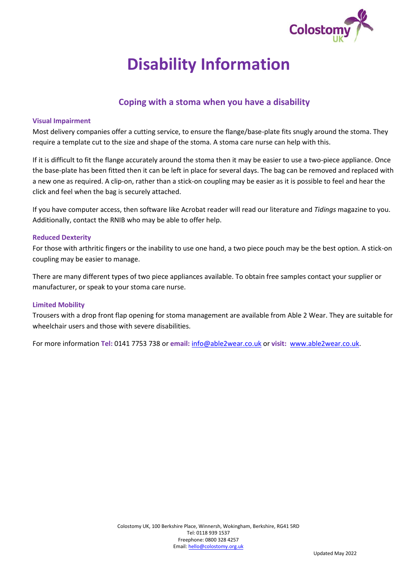

# **Disability Information**

# **Coping with a stoma when you have a disability**

### **Visual Impairment**

Most delivery companies offer a cutting service, to ensure the flange/base-plate fits snugly around the stoma. They require a template cut to the size and shape of the stoma. A stoma care nurse can help with this.

If it is difficult to fit the flange accurately around the stoma then it may be easier to use a two-piece appliance. Once the base-plate has been fitted then it can be left in place for several days. The bag can be removed and replaced with a new one as required. A clip-on, rather than a stick-on coupling may be easier as it is possible to feel and hear the click and feel when the bag is securely attached.

If you have computer access, then software like Acrobat reader will read our literature and *Tidings* magazine to you. Additionally, contact the RNIB who may be able to offer help.

#### **Reduced Dexterity**

For those with arthritic fingers or the inability to use one hand, a two piece pouch may be the best option. A stick-on coupling may be easier to manage.

There are many different types of two piece appliances available. To obtain free samples contact your supplier or manufacturer, or speak to your stoma care nurse.

### **Limited Mobility**

Trousers with a drop front flap opening for stoma management are available from Able 2 Wear. They are suitable for wheelchair users and those with severe disabilities.

For more information **Tel:** 0141 7753 738 or **email:** [info@able2wear.co.uk](mailto:info@able2wear.co.uk) or **visit:** [www.able2wear.co.uk.](http://www.able2wear.co.uk/)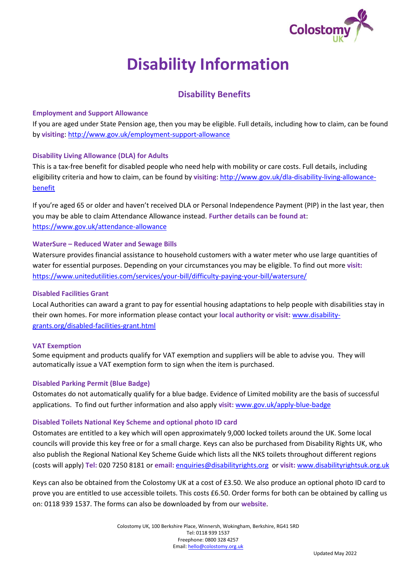

# **Disability Information**

# **Disability Benefits**

## **Employment and Support Allowance**

If you are aged under State Pension age, then you may be eligible. Full details, including how to claim, can be found by **visiting**[: http://www.gov.uk/employment-support-allowance](http://www.gov.uk/employment-support-allowance)

# **Disability Living Allowance (DLA) for Adults**

This is a tax-free benefit for disabled people who need help with mobility or care costs. Full details, including eligibility criteria and how to claim, can be found by **visiting**[: http://www.gov.uk/dla-disability-living-allowance](http://www.gov.uk/dla-disability-living-allowance-benefit)[benefit](http://www.gov.uk/dla-disability-living-allowance-benefit) 

If you're aged 65 or older and haven't received DLA or Personal Independence Payment (PIP) in the last year, then you may be able to claim Attendance Allowance instead. **Further details can be found at**: <https://www.gov.uk/attendance-allowance>

## **WaterSure – Reduced Water and Sewage Bills**

Watersure provides financial assistance to household customers with a water meter who use large quantities of water for essential purposes. Depending on your circumstances you may be eligible. To find out more **visit:** <https://www.unitedutilities.com/services/your-bill/difficulty-paying-your-bill/watersure/>

## **Disabled Facilities Grant**

Local Authorities can award a grant to pay for essential housing adaptations to help people with disabilities stay in their own homes. For more information please contact your **local authority or visit:** [www.disability](http://www.disability-grants.org/disabled-facilities-grant.html)[grants.org/disabled-facilities-grant.html](http://www.disability-grants.org/disabled-facilities-grant.html)

### **VAT Exemption**

Some equipment and products qualify for VAT exemption and suppliers will be able to advise you. They will automatically issue a VAT exemption form to sign when the item is purchased.

# **Disabled Parking Permit (Blue Badge)**

Ostomates do not automatically qualify for a blue badge. Evidence of Limited mobility are the basis of successful applications. To find out further information and also apply **visit:** [www.gov.uk/apply-blue-badge](http://www.gov.uk/apply-blue-badge)

### **Disabled Toilets National Key Scheme and optional photo ID card**

Ostomates are entitled to a key which will open approximately 9,000 locked toilets around the UK. Some local councils will provide this key free or for a small charge. Keys can also be purchased from Disability Rights UK, who also publish the Regional National Key Scheme Guide which lists all the NKS toilets throughout different regions (costs will apply) **Tel:** 020 7250 8181 or **email:** [enquiries@disabilityrights.org](mailto:enquiries@disabilityrights.org) or **visit:** [www.disabilityrightsuk.org.uk](http://www.disabilityrightsuk.org.uk/)

Keys can also be obtained from the Colostomy UK at a cost of £3.50. We also produce an optional photo ID card to prove you are entitled to use accessible toilets. This costs £6.50. Order forms for both can be obtained by calling us on: 0118 939 1537. The forms can also be downloaded by from our **website**.